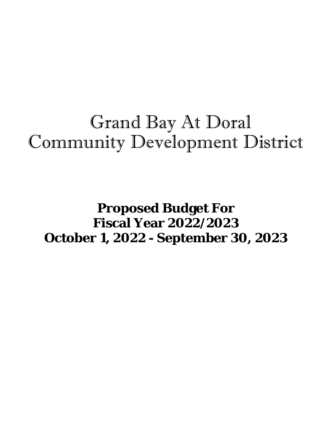# Grand Bay At Doral Community Development District

### **Proposed Budget For Fiscal Year 2022/2023 October 1, 2022 - September 30, 2023**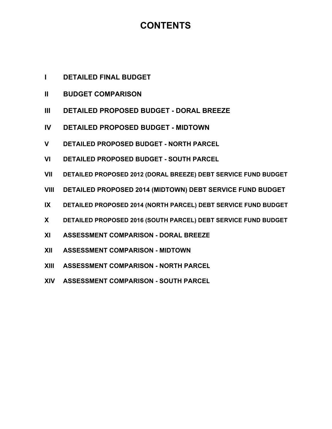### **CONTENTS**

- **I DETAILED FINAL BUDGET**
- **II BUDGET COMPARISON**
- **III DETAILED PROPOSED BUDGET DORAL BREEZE**
- **IV DETAILED PROPOSED BUDGET MIDTOWN**
- **V DETAILED PROPOSED BUDGET NORTH PARCEL**
- **VI DETAILED PROPOSED BUDGET SOUTH PARCEL**
- **VII DETAILED PROPOSED 2012 (DORAL BREEZE) DEBT SERVICE FUND BUDGET**
- **VIII DETAILED PROPOSED 2014 (MIDTOWN) DEBT SERVICE FUND BUDGET**
- **IX DETAILED PROPOSED 2014 (NORTH PARCEL) DEBT SERVICE FUND BUDGET**
- **X DETAILED PROPOSED 2016 (SOUTH PARCEL) DEBT SERVICE FUND BUDGET**
- **XI ASSESSMENT COMPARISON DORAL BREEZE**
- **XII ASSESSMENT COMPARISON MIDTOWN**
- **XIII ASSESSMENT COMPARISON NORTH PARCEL**
- **XIV ASSESSMENT COMPARISON SOUTH PARCEL**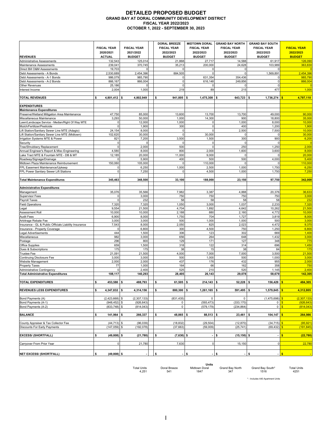### **DETAILED PROPOSED BUDGET GRAND BAY AT DORAL COMMUNITY DEVELOPMENT DISTRICT FISCAL YEAR 2022/2023 OCTOBER 1, 2022 - SEPTEMBER 30, 2023**

|                                                                                                 | <b>FISCAL YEAR</b><br>2020/2021 | <b>FISCAL YEAR</b><br>2021/2022 | <b>DORAL BREEZE</b><br><b>FISCAL YEAR</b><br>2022/2023 | <b>MIDTOWN DORAL</b><br><b>FISCAL YEAR</b><br>2022/2023 | <b>GRAND BAY NORTH</b><br><b>FISCAL YEAR</b><br>2022/2023 | <b>GRAND BAY SOUTH</b><br><b>FISCAL YEAR</b><br>2022/2023 | <b>FISCAL YEAR</b><br>2022/2023 |
|-------------------------------------------------------------------------------------------------|---------------------------------|---------------------------------|--------------------------------------------------------|---------------------------------------------------------|-----------------------------------------------------------|-----------------------------------------------------------|---------------------------------|
| <b>REVENUES</b>                                                                                 | <b>ACTUAL</b>                   | <b>BUDGET</b>                   | <b>BUDGET</b>                                          | <b>BUDGET</b>                                           | <b>BUDGET</b>                                             | <b>BUDGET</b>                                             | <b>BUDGET</b>                   |
| Administrative Assessments                                                                      | 132,543                         | 125,014                         | 21,868                                                 | 27,717                                                  | 14,588                                                    | 61,917                                                    | 126,090                         |
| Maintenance Assessments                                                                         | 239,041                         | 370,745<br>$\Omega$             | 35,213<br>$\Omega$                                     | 200,000<br>$\Omega$                                     | 24,628<br>$\pmb{0}$                                       | 103,989<br>0                                              | 363,830                         |
| Direct Bill O&M Assessments<br>Debt Assessments - A Bonds                                       | 19,703<br>2,530,689             | 2,454,396                       | 884,505                                                | $\Omega$                                                | $\Omega$                                                  | 1,569,891                                                 | 2,454,396                       |
| Debt Assessments - A-1 Bonds                                                                    | 986,079                         | 985,790                         | 0                                                      | 631,354                                                 | 354,436                                                   | $\mathbf 0$                                               | 985,790                         |
| Debt Assessments - A-2 Bonds                                                                    | 866,167                         | 866,004                         | 0                                                      | 616,148                                                 | 249,856                                                   | $\pmb{0}$                                                 | 866,004                         |
| <b>Other Revenues</b>                                                                           | 25,186                          | $\Omega$                        | $\mathbf 0$                                            | $\Omega$                                                | $\Omega$                                                  | $\pmb{0}$                                                 |                                 |
| Interest Income                                                                                 | 2,004                           | 1,000                           | 219                                                    | 89                                                      | 215                                                       | 477                                                       | 1,000                           |
| <b>TOTAL REVENUES</b>                                                                           | \$<br>4,801,412                 | 4,802,949<br>\$                 | \$<br>941,805                                          | 1,475,308<br>\$                                         | \$<br>643,723                                             | \$<br>1,736,274                                           | 4,797,110                       |
| <b>EXPENDITURES</b>                                                                             |                                 |                                 |                                                        |                                                         |                                                           |                                                           |                                 |
| <b>Maintenance Expenditures</b>                                                                 |                                 |                                 |                                                        |                                                         |                                                           |                                                           |                                 |
| Preserve/Wetland Mitigation Area Maintenance                                                    | 47,750                          | 85,000                          | 13,600                                                 | 13,700                                                  | 13,700                                                    | 49,000                                                    | 90,000                          |
| Miscellaneous Maintenance                                                                       | 3,293                           | 50,000                          | 1,000                                                  | 14,300                                                  | 900                                                       | 18,800                                                    | 35,000                          |
| Lawn/Landscape Service - Median/Right Of Way MTE                                                | $\Omega$                        | 12,000                          | 1,000                                                  |                                                         | 1,000                                                     | 8,000                                                     | 10,000                          |
| Mulch/Fertilizer/Pesticide                                                                      | $\mathbf 0$<br>24,154           | 1,900<br>8,000                  | 300<br>$\Omega$                                        | $\Omega$                                                | 400<br>2,500                                              | 1,200                                                     | 1,900<br>10,000                 |
| Lift Station/Sanitary Sewer Line MTE (Adagio)<br>Lift Station/Sanitary Sewer Line MTE (Midtown) | 102,620                         | 30,000                          | $\mathbf 0$                                            | 30,000                                                  | $\Omega$                                                  | 7,500<br>$\mathbf 0$                                      | 30,000                          |
| Irrigation Systems MTE & Power                                                                  | 821                             | 7,200                           | 3,500                                                  | 1,500                                                   | 300                                                       | 900                                                       | 6,200                           |
| Security                                                                                        | $\mathbf 0$                     | $\Omega$                        | $\mathbf 0$                                            | $\Omega$                                                | 0                                                         | 0                                                         |                                 |
| Tree/Shrubbery Replacement                                                                      | $\Omega$                        | 2,000                           | 500                                                    | $\Omega$                                                | 250                                                       | 1,250                                                     | 2,000                           |
| Annual Engineer's Report & Misc Engineering                                                     | 4,580                           | 8,000                           | 800                                                    | 2,000                                                   | 1,600                                                     | 3,600                                                     | 8,000                           |
| Lake Tract MTE & Fountain MTE - DB & MT                                                         | 12,185                          | 20,000                          | 11,000                                                 | 9,000                                                   | $\mathbf 0$                                               | $\mathsf{O}$                                              | 20,000                          |
| Roadway/Signage/Drainage                                                                        | $\Omega$                        | 5,900                           | 400                                                    | 500                                                     | 500                                                       | 4,000                                                     | 5,400                           |
| Midtown Plaza Maintenance Reimbursement                                                         | 150,060                         | 105,000                         | $\mathbf 0$                                            | 110,000                                                 | $\mathbf 0$                                               | 0                                                         | 110,000                         |
| FPL Easement Maintenance/Upkeep                                                                 | $\mathbf 0$                     | 6,250                           | 1,000                                                  | 2,500                                                   | 1,000                                                     | 1,750                                                     | 6,250                           |
| FPL Power Sanitary Sewer Lift Stations                                                          | $\mathbf 0$                     | 7,250                           | 0                                                      | 4,500                                                   | 1,000                                                     | 1,750                                                     | 7,250                           |
| <b>Total Maintenance Expenditures</b>                                                           | 345,463                         | 348,500                         | 33,100                                                 | 188,000                                                 | 23,150                                                    | 97,750                                                    | 342,000                         |
| <b>Administrative Expenditures</b>                                                              |                                 |                                 |                                                        |                                                         |                                                           |                                                           |                                 |
| Management                                                                                      | 35,076                          | 35,566                          | 7,982                                                  | 3,387                                                   | 4,888                                                     | 20,376                                                    | 36,633                          |
| <b>Supervisor Fees</b>                                                                          | 0                               | 3,000                           | 750                                                    | 750                                                     | 750                                                       | 750                                                       | 3,000                           |
| Payroll Taxes                                                                                   | $\Omega$                        | 232                             | 58                                                     | 58                                                      | 58                                                        | 58                                                        | 232                             |
| <b>Field Operations</b>                                                                         | 7,320                           | 7,320                           | 1,050                                                  | 3,000                                                   | 1,037                                                     | 2,233                                                     | 7,320                           |
| Legal<br>Assessment Roll                                                                        | 9,554<br>10,000                 | 21,500<br>10,000                | 4,704<br>2,188                                         | 1,892<br>880                                            | 4,642<br>2,160                                            | 10,262<br>4,772                                           | 21,500<br>10,000                |
| <b>Audit Fees</b>                                                                               | 6,900                           | 8,000                           | 1,750                                                  | 704                                                     | 1,727                                                     | 3,819                                                     | 8,000                           |
| Arbitrage Rebate Fee                                                                            | 3,000                           | 3,000                           | 500                                                    | 1,000                                                   | 1,000                                                     | 500                                                       | 3,000                           |
| Insurance - GL & Public Officials Liability Insurance                                           | 7,543                           | 8,000                           | 2,050                                                  | 825                                                     | 2,023                                                     | 4,472                                                     | 9,370                           |
| Insurance - Property Coverage                                                                   | 0                               | 6,800                           | 300                                                    | 4,500                                                   | 750                                                       | 1,250                                                     | 6,800                           |
| Legal Advertisements                                                                            | 444                             | 1,500                           | 306                                                    | 123                                                     | 302                                                       | 669                                                       | 1,400                           |
| Miscellaneous                                                                                   | 982                             | 3,000                           | 656                                                    | 264                                                     | 648                                                       | 1,432                                                     | 3,000                           |
| Postage                                                                                         | 296                             | 800                             | 129                                                    | 171                                                     | 127                                                       | 348                                                       | 775                             |
| Office Supplies                                                                                 | 659                             | 1,500                           | 318                                                    | 122                                                     | 314                                                       | 696                                                       | 1,450                           |
| Dues & Subscriptions<br><b>Trustee Fee</b>                                                      | 175<br>21,091                   | 175<br>21,500                   | 38<br>4,000                                            | 15<br>7,000                                             | 38<br>7,000                                               | 84<br>3,500                                               | 175<br>21,500                   |
| Continuing Disclosure Fee                                                                       | 3,000                           | 3,000                           | 500                                                    | 1,000                                                   | 500                                                       | 1,000                                                     | 3,000                           |
| Website Management                                                                              | 2,000                           | 2,000                           | 437                                                    | 176                                                     | 432                                                       | 955                                                       | 2,000                           |
| <b>Property Taxes</b>                                                                           | 77                              | 1,000                           | 164                                                    | 66                                                      | 162                                                       | 358                                                       | 750                             |
| Administrative Contingency                                                                      | $\Omega$                        | 2,400                           | 525                                                    | 210                                                     | 520                                                       | 1,145                                                     | 2,400                           |
| <b>Total Administrative Expenditures</b>                                                        | 108,117                         | 140,293                         | 28,405                                                 | 26,143                                                  | 29,078                                                    | 58,679                                                    | 142,305                         |
| <b>TOTAL EXPENDITURES</b>                                                                       | \$<br>453,580                   | 488,793<br>\$                   | \$<br>61.505                                           | 214,143<br>5                                            | 52,228<br>\$                                              | \$<br>156,429                                             | 484,305                         |
| <b>REVENUES LESS EXPENDITURES</b>                                                               | \$<br>4,347,832 \$              | 4,314,156                       | \$<br>880,300 \$                                       | $1,261,165$ \$                                          | $591,495$ \$                                              | $1,579,845$ \$                                            | 4,312,805                       |
| Bond Payments (A)                                                                               | $(2,423,668)$ \$                | (2,307,133)                     | (831, 435)                                             | 0                                                       | $\mathbf 0$                                               | $(1,475,698)$ \$                                          | (2,307,133)                     |
| Bond Payments (A-1)                                                                             | $(948, 452)$ \$                 | (926, 643)                      | 0                                                      | (593, 473)                                              | (333, 170)                                                | 0 <sup>8</sup>                                            | (926, 643)                      |
| Bond Payments (A-2)                                                                             | $(833,748)$ \$                  | (814, 043)                      | $\mathsf 0$                                            | (579, 179)                                              | (234, 864)                                                | 0 <sup>8</sup>                                            | (814, 043)                      |
|                                                                                                 |                                 |                                 |                                                        |                                                         |                                                           |                                                           |                                 |
| <b>BALANCE</b>                                                                                  | \$<br>$141,964$ \$              | 266,337                         | \$<br>48,865 \$                                        | $88,513$ \$                                             | $23,461$ \$                                               | 104,147 <b>\$</b>                                         | 264,986                         |
| County Appraiser & Tax Collector Fee                                                            | $(44, 713)$ \$                  | (96, 039)                       | (18, 832)                                              | (29, 504)                                               | (12, 870)                                                 | $(34, 715)$ \$                                            | (95, 921)                       |
| <b>Discounts For Early Payments</b>                                                             | $(147, 059)$ \$                 | (192, 078)                      | (37, 663)                                              | (59,009)                                                | (25, 741)                                                 | $(69, 432)$ \$                                            | (191, 845)                      |
| <b>EXCESS/(SHORTFALL)</b>                                                                       | \$<br>$(49,808)$ \$             | (21, 780)                       | \$<br>$(7,630)$ \$                                     |                                                         | \$<br>$(15, 150)$ \$                                      |                                                           | $-1$ s<br>(22, 780)             |
| Carryover From Prior Year                                                                       | $\mathbf 0$                     | 21,780                          | 7,630                                                  | $\mathsf{O}\xspace$                                     | 15,150                                                    | 0                                                         | 22,780                          |
| <b>NET EXCESS/ (SHORTFALL)</b>                                                                  | \$<br>$(49,808)$ \$             |                                 | \$<br>$\blacksquare$                                   | \$                                                      | \$<br>$\blacksquare$                                      | \$<br>$-15$                                               |                                 |

**Units**<br>Midtown Doral<br>1847

Total Units Doral Breeze Midtown Doral Grand Bay North Grand Bay South\* Total Units 541 1847 347 1516 4251 4,251

\* - Includes 440 Apartment Units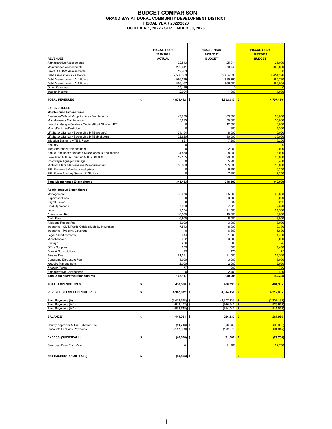### **BUDGET COMPARISON GRAND BAY AT DORAL COMMUNITY DEVELOPMENT DISTRICT FISCAL YEAR 2022/2023 OCTOBER 1, 2022 - SEPTEMBER 30, 2023**

|                                                                                                 | <b>FISCAL YEAR</b>   | <b>FISCAL YEAR</b>       | <b>FISCAL YEAR</b>                    |
|-------------------------------------------------------------------------------------------------|----------------------|--------------------------|---------------------------------------|
|                                                                                                 | 2020/2021            | 2021/2022                | 2022/2023                             |
| <b>REVENUES</b>                                                                                 | <b>ACTUAL</b>        | <b>BUDGET</b>            | <b>BUDGET</b>                         |
| Administrative Assessments                                                                      | 132,543              | 125,014                  | 126,090                               |
| Maintenance Assessments                                                                         | 239,041              | 370,745                  | 363,830                               |
| Direct Bill O&M Assessments                                                                     | 19,703               | $\Omega$                 | $\overline{0}$                        |
| Debt Assessments - A Bonds                                                                      | 2,530,689            | 2,454,396                | 2,454,396                             |
| Debt Assessments - A-1 Bonds                                                                    | 986,079              | 985,790                  | 985,790                               |
| Debt Assessments - A-2 Bonds                                                                    | 866,167              | 866,004                  | 866,004                               |
| <b>Other Revenues</b><br>Interest Income                                                        | 25,186<br>2,004      | Ω<br>1,000               | 1,000                                 |
|                                                                                                 |                      |                          |                                       |
| <b>TOTAL REVENUES</b>                                                                           | \$<br>4,801,412      | 4,802,949<br>s           | 4,797,110<br>\$                       |
| <b>EXPENDITURES</b>                                                                             |                      |                          |                                       |
| <b>Maintenance Expenditures</b>                                                                 |                      |                          |                                       |
| Preserve/Wetland Mitigation Area Maintenance                                                    | 47,750               | 85,000                   | 90,000                                |
| Miscellaneous Maintenance                                                                       | 3,293                | 50,000                   | 35,000                                |
| Lawn/Landscape Service - Median/Right Of Way MTE                                                |                      | 12,000                   | 10,000                                |
| Mulch/Fertilizer/Pesticide                                                                      | $\mathbf 0$          | 1,900                    | 1,900                                 |
| Lift Station/Sanitary Sewer Line MTE (Adagio)<br>Lift Station/Sanitary Sewer Line MTE (Midtown) | 24,154<br>102,620    | 8,000<br>30,000          | 10,000<br>30,000                      |
| Irrigation Systems MTE & Power                                                                  | 821                  | 7,200                    | 6,200                                 |
| Security                                                                                        | $\mathbf 0$          | 0                        | $\overline{0}$                        |
| Tree/Shrubbery Replacement                                                                      | $\mathbf 0$          | 2,000                    | 2,000                                 |
| Annual Engineer's Report & Miscellaneous Engineering                                            | 4,580                | 8,000                    | 8,000                                 |
| Lake Tract MTE & Fountain MTE - DM & MT                                                         | 12,185               | 20,000                   | 20,000                                |
| Roadways/Signage/Drainage                                                                       | 0                    | 5,900                    | 5,400                                 |
| Midtown Plaza Maintenance Reimbursement                                                         | 150,060              | 105,000                  | 110,000                               |
| FPL Easement Maintenance/Upkeep                                                                 | 0                    | 6,250                    | 6,250                                 |
| FPL Power Sanitary Sewer Lift Stations                                                          | 0                    | 7,250                    | 7,250                                 |
|                                                                                                 |                      |                          | 342,000                               |
| <b>Total Maintenance Expenditures</b>                                                           | 345,463              | 348,500                  |                                       |
| <b>Administrative Expenditures</b>                                                              |                      |                          |                                       |
| Management                                                                                      | 35,076               | 35,566                   | 36,633                                |
| <b>Supervisor Fees</b>                                                                          | $\mathbf 0$          | 3,000                    | 3,000                                 |
| Payroll Taxes                                                                                   | $\Omega$             | 232                      | 232                                   |
| <b>Field Operations</b>                                                                         | 7,320                | 7,320                    | 7,320                                 |
| Legal                                                                                           | 9,554                | 21,500                   | 21,500                                |
| Assessment Roll                                                                                 | 10,000               | 10,000                   | 10,000                                |
| <b>Audit Fees</b>                                                                               | 6,900                | 8,000                    | 8,000                                 |
| Arbitrage Rebate Fee                                                                            | 3,000                | 3,000                    | 3,000                                 |
| Insurance - GL & Public Officials Liability Insurance<br>Insurance - Property Coverage          | 7,543<br>$\mathbf 0$ | 8,000<br>6,800           | 9,370<br>6,800                        |
| <b>Legal Advertisements</b>                                                                     | 444                  | 1,500                    | 1,400                                 |
| Miscellaneous                                                                                   | 982                  | 3,000                    | 3,000                                 |
| Postage                                                                                         | 296                  | 800                      | 775                                   |
| <b>Office Supplies</b>                                                                          | 659                  | 1,500                    | 1,450                                 |
| Dues & Subscriptions                                                                            | 175                  | 175                      | 175                                   |
| <b>Trustee Fee</b>                                                                              | 21,091               | 21,500                   | 21,500                                |
| Continuing Disclosure Fee                                                                       | 3,000                | 3,000                    | 3,000                                 |
| <b>Website Management</b>                                                                       | 2,000                | 2,000                    | 2,000                                 |
| <b>Property Taxes</b>                                                                           | 77                   | 1,000                    | 750                                   |
| <b>Administrative Contingency</b><br><b>Total Administrative Expenditures</b>                   | 0                    | 2,400                    | 2,400<br>142,305                      |
|                                                                                                 | 108,117              | 140,293                  |                                       |
| <b>TOTAL EXPENDITURES</b>                                                                       | \$<br>453,580        | \$<br>488,793            | 484,305<br>\$                         |
|                                                                                                 |                      |                          |                                       |
| <b>REVENUES LESS EXPENDITURES</b>                                                               | \$<br>4,347,832      | 4,314,156<br>\$          | 4,312,805<br>$\frac{1}{2}$            |
| Bond Payments (A)                                                                               | (2,423,668)          | (2,307,133)<br>\$        | (2,307,133)<br>$\mathbf{s}$           |
| Bond Payments (A-1)                                                                             | (948, 452)           | \$<br>(926, 643)         | $\boldsymbol{s}$<br>(926, 643)        |
| Bond Payments (A-2)                                                                             | $(833,748)$ \$       | (814, 043)               | $\mathsf{s}$<br>(814, 043)            |
|                                                                                                 |                      |                          |                                       |
| <b>BALANCE</b>                                                                                  | \$<br>141,964        | \$<br>266,337            | 264,986<br>\$                         |
|                                                                                                 |                      |                          |                                       |
| County Appraiser & Tax Collector Fee                                                            | (44, 713)            | (96, 039)<br>\$          | (95, 921)<br>$\mathsf{s}$             |
| Discounts For Early Payments                                                                    | (147, 059)           | (192, 078)               | $\overline{\mathbf{s}}$<br>(191, 845) |
| <b>EXCESS/ (SHORTFALL)</b>                                                                      | (49, 808)<br>\$      | \$<br>(21, 780)          | (22, 780)<br>\$                       |
|                                                                                                 |                      |                          |                                       |
| Carryover From Prior Year                                                                       | $\pmb{0}$            | 21,780                   | 22,780                                |
|                                                                                                 |                      |                          |                                       |
| <b>NET EXCESS/ (SHORTFALL)</b>                                                                  | \$<br>$(49,808)$ \$  | $\overline{\phantom{a}}$ | $\bullet$                             |
|                                                                                                 |                      |                          |                                       |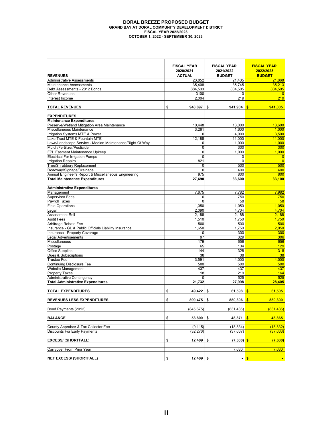### **DORAL BREEZE PROPOSED BUDGET GRAND BAY AT DORAL COMMUNITY DEVELOPMENT DISTRICT FISCAL YEAR 2022/2023 OCTOBER 1, 2022 - SEPTEMBER 30, 2023**

|                                                          | <b>FISCAL YEAR</b><br>2020/2021 | <b>FISCAL YEAR</b><br>2021/2022 | <b>FISCAL YEAR</b><br>2022/2023 |
|----------------------------------------------------------|---------------------------------|---------------------------------|---------------------------------|
| <b>REVENUES</b>                                          | <b>ACTUAL</b>                   | <b>BUDGET</b>                   | <b>BUDGET</b>                   |
| <b>Administrative Assessments</b>                        | 23,852                          | 21,435                          | 21,868                          |
| <b>Maintenance Assessments</b>                           | 35,408                          | 35,745                          | 35,213                          |
| Debt Assessments - 2012 Bonds                            | 884,533                         | 884,505                         | 884,505                         |
| <b>Other Revenues</b>                                    | 3100                            | 0                               | $\Omega$                        |
| Interest Income                                          | 2.004                           | 219                             | 219                             |
|                                                          |                                 |                                 |                                 |
| <b>TOTAL REVENUES</b>                                    | 948,897<br>\$                   | 941,904<br>\$                   | 941,805<br>\$                   |
|                                                          |                                 |                                 |                                 |
| <b>EXPENDITURES</b>                                      |                                 |                                 |                                 |
| <b>Maintenance Expenditures</b>                          |                                 |                                 |                                 |
| Preserve/Wetland Mitigation Area Maintenance             | 10,448                          | 13,000                          | 13,600                          |
| Miscellaneous Maintenance                                | 3,261                           | 1,600                           | 1,000                           |
| Irrigation Systems MTE & Power                           | 0                               | 4,000                           | 3,500                           |
| Lake Tract MTE & Fountain MTE                            | 12,185                          | 11,000                          | 11,000                          |
| Lawn/Landscape Service - Median Maintenance/Right Of Way | 0                               | 1,000                           | 1,000                           |
| Mulch/Fertilizer/Pesticide                               | 0                               | 300                             | 300                             |
| FPL Easment Maintenance Upkeep                           | $\mathbf 0$                     | 1,000                           | 1,000                           |
| <b>Electrical For Irrigation Pumps</b>                   | 0                               | 0                               | $\overline{0}$                  |
| <b>Irrigation Repairs</b>                                | 821                             | 0                               | $\overline{0}$                  |
| Tree/Shrubbery Replacement                               | 0                               | 500                             | 500                             |
| Roadway/Signage/Drainage                                 | $\mathbf 0$                     | 400                             | 400                             |
| Annual Engineer's Report & Miscellaneous Engineering     | 975                             | 800                             | 800                             |
| <b>Total Maintenance Expenditures</b>                    | 27,690                          | 33,600                          | 33,100                          |
|                                                          |                                 |                                 |                                 |
| <b>Administrative Expenditures</b>                       |                                 |                                 |                                 |
| Management                                               | 7.675                           | 7,782                           | 7,982                           |
| <b>Supervisor Fees</b>                                   | 0                               | 750                             | 750                             |
| Payroll Taxes                                            | 0                               | 58                              | 58                              |
| <b>Field Operations</b>                                  | 1,050                           | 1,050                           | 1,050                           |
| Legal                                                    | 2,090                           | 4,704                           | 4,704                           |
| Assessment Roll                                          | 2,188                           | 2,188                           | 2,188                           |
| <b>Audit Fees</b>                                        | 1,510                           | 1,750                           | 1,750                           |
| Arbitrage Rebate Fee                                     | 500                             | 500                             | 500                             |
| Insurance - GL & Public Officials Liability Insurance    | 1,650                           | 1,750                           | 2,050                           |
| Insurance - Property Coverage                            | 0                               | 300                             | 300                             |
| Legal Advertisements                                     | 97                              | 329                             | 306                             |
| Miscellaneous                                            | 179                             | 656                             | 656                             |
| Postage                                                  | 65                              | 134                             | 129                             |
| <b>Office Supplies</b>                                   | 144                             | 328                             | 318                             |
| Dues & Subscriptions                                     | 38                              | 38                              | 38                              |
| <b>Trustee Fee</b>                                       | 3,591                           | 4,000                           | 4,000                           |
|                                                          | 500                             | 500                             | 500                             |
| <b>Continuing Disclosure Fee</b>                         | 437                             | 437                             | 437                             |
| <b>Website Management</b><br><b>Property Taxes</b>       | 18                              | 219                             | 164                             |
|                                                          |                                 |                                 |                                 |
| <b>Administrative Contingency</b>                        | 0                               | 525                             | 525                             |
| <b>Total Administrative Expenditures</b>                 | 21,732                          | 27,998                          | 28,405                          |
| <b>TOTAL EXPENDITURES</b>                                | 49,422<br>\$                    | 61,598<br>\$                    | \$                              |
|                                                          |                                 |                                 | 61,505                          |
| <b>REVENUES LESS EXPENDITURES</b>                        | \$<br>899,475                   | \$<br>880,306                   | \$<br>880,300                   |
|                                                          |                                 |                                 |                                 |
| Bond Payments (2012)                                     | (845, 675)                      | (831, 435)                      | (831, 435)                      |
| <b>BALANCE</b>                                           | \$<br>53,800                    | \$<br>48,871                    | $\frac{1}{2}$<br>48,865         |
|                                                          |                                 |                                 |                                 |
| County Appraiser & Tax Collector Fee                     | (9, 115)                        | (18, 834)                       | (18, 832)                       |
| <b>Discounts For Early Payments</b>                      | (32, 276)                       | (37, 667)                       | (37, 663)                       |
|                                                          |                                 |                                 |                                 |
| <b>EXCESS/ (SHORTFALL)</b>                               | 12,409<br>\$                    | $(7,630)$ \$<br>\$              | (7,630)                         |
| Carryover From Prior Year                                |                                 | 7,630                           | 7,630                           |
|                                                          |                                 |                                 |                                 |
| <b>NET EXCESS/ (SHORTFALL)</b>                           | $12,409$ \$<br>\$               | $\blacksquare$                  | $\sqrt{3}$                      |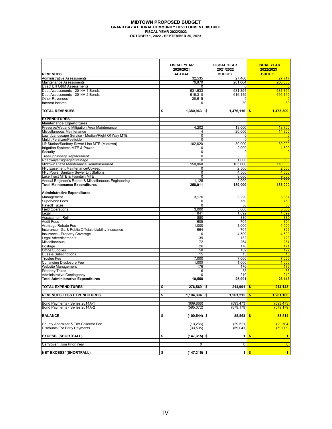### **MIDTOWN PROPOSED BUDGET GRAND BAY AT DORAL COMMUNITY DEVELOPMENT DISTRICT FISCAL YEAR 2022/2023 OCTOBER 1, 2022 - SEPTEMBER 30, 2023**

|                                                                           | <b>FISCAL YEAR</b><br>2020/2021 | <b>FISCAL YEAR</b><br>2021/2022 | <b>FISCAL YEAR</b><br>2022/2023 |
|---------------------------------------------------------------------------|---------------------------------|---------------------------------|---------------------------------|
| <b>REVENUES</b>                                                           | <b>ACTUAL</b>                   | <b>BUDGET</b>                   | <b>BUDGET</b>                   |
| <b>Administrative Assessments</b><br><b>Maintenance Assessments</b>       | 32,535<br>79,870                | 27,460<br>201,064               | 27,717<br>200.000               |
| Direct Bill O&M Assessments                                               | 0                               | 0                               | $\overline{0}$                  |
| Debt Assessments - 2014A-1 Bonds                                          | 631.633                         | 631,354                         | 631,354                         |
| Debt Assessments - 2014A-2 Bonds                                          | 616,310                         | 616,149                         | 616,149                         |
| <b>Other Revenues</b>                                                     | 20,615                          | 0                               | $\overline{0}$                  |
| Interest Income                                                           | $\Omega$                        | 89                              | 89                              |
|                                                                           |                                 |                                 |                                 |
| <b>TOTAL REVENUES</b>                                                     | $1,380,963$ \$<br>\$            | 1,476,116                       | 1,475,309<br>\$                 |
| <b>EXPENDITURES</b>                                                       |                                 |                                 |                                 |
| <b>Maintenance Expenditures</b>                                           |                                 |                                 |                                 |
| Preserve/Wetland Mitigation Area Maintenance                              | 4,202                           | 13,000                          | 13,700                          |
| Miscellaneous Maintenance                                                 | 4                               | 20,000                          | 14,300                          |
| Lawn/Landscape Service - Median/Right Of Way MTE                          | 0                               | $\overline{0}$                  | $\overline{0}$                  |
| Mulch/Fertilizer/Pesticide                                                | $\Omega$                        | $\Omega$                        | $\overline{0}$                  |
| Lift Station/Sanitary Sewer Line MTE (Midtown)                            | 102,620                         | 30,000                          | 30.000                          |
| Irrigation Systems MTE & Power                                            | 0                               | 2,000                           | 1,500                           |
| Security                                                                  | $\overline{0}$                  | 0                               | $\overline{0}$                  |
| Tree/Shrubbery Replacement                                                | $\overline{0}$                  | $\Omega$                        | $\overline{0}$                  |
| Roadways/Signage/Drainage                                                 | $\Omega$                        | 1,000                           | 500                             |
| Midtown Plaza Maintenance Reimbursement                                   | 150,060                         | 105,000                         | 110,000                         |
| FPL Easement Maintenance/Upkeep<br>FPL Power Sanitary Sewer Lift Stations | 0<br>$\overline{\mathsf{o}}$    | 2,500<br>4,500                  | 2,500<br>4,500                  |
| Lake Tract MTE & Fountain MTE                                             | 0                               | 9,000                           | 9,000                           |
| Annual Engineer's Report & Miscellaneous Engineering                      | 1,125                           | 2,000                           | 2,000                           |
| <b>Total Maintenance Expenditures</b>                                     | 258,011                         | 189,000                         | 188,000                         |
|                                                                           |                                 |                                 |                                 |
| <b>Administrative Expenditures</b>                                        |                                 |                                 |                                 |
| Management                                                                | 3,176                           | 3,220                           | 3,387                           |
| <b>Supervisor Fees</b>                                                    | 0                               | 750                             | 750                             |
| <b>Payroll Taxes</b>                                                      | 0                               | 58                              | 58                              |
| <b>Field Operations</b>                                                   | 3,000                           | 3.000                           | 3,000                           |
| Legal                                                                     | 841                             | 1,892                           | 1,892                           |
| Assessment Roll<br><b>Audit Fees</b>                                      | 880<br>605                      | 880<br>704                      | 880<br>704                      |
| Arbitrage Rebate Fee                                                      | 1,000                           | 1,000                           | 1,000                           |
| Insurance - GL & Public Officials Liability Insurance                     | 664                             | 704                             | 825                             |
| Insurance - Property Coverage                                             | 0                               | 4,500                           | 4,500                           |
| Legal Advertisements                                                      | 39                              | 132                             | 123                             |
| Miscellaneous                                                             | 72                              | 264                             | 264                             |
| Postage                                                                   | 26                              | 176                             | 171                             |
| <b>Office Supplies</b>                                                    | 58                              | 132                             | 122                             |
| Dues & Subscriptions                                                      | 15                              | 15                              | 15                              |
| <b>Trustee Fee</b>                                                        | 7,000                           | 7,000                           | 7.000                           |
| <b>Continuing Disclosure Fee</b>                                          | 1.000                           | 1.000                           | 1.000                           |
| Website Management<br><b>Property Taxes</b>                               | 176<br>6                        | 176<br>88                       | 176<br>66                       |
| <b>Administrative Contingency</b>                                         | $\Omega$                        | 210                             | 210                             |
| <b>Total Administrative Expenditures</b>                                  | 18,558                          | 25,901                          | 26,143                          |
|                                                                           |                                 |                                 |                                 |
| <b>TOTAL EXPENDITURES</b>                                                 | 276,569<br>\$                   | 214,901<br>\$                   | 214,143<br>\$                   |
|                                                                           |                                 |                                 |                                 |
| <b>REVENUES LESS EXPENDITURES</b>                                         | 1,104,394<br>\$                 | 1,261,215<br>\$                 | 1,261,166<br>-\$                |
| Bond Payments - Series 2014A-1                                            | (609, 866)                      | (593, 473)                      | (593, 473)                      |
| Bond Payments - Series 2014A-2                                            | (595, 072)                      | (579, 179)                      | (579, 179)                      |
|                                                                           |                                 |                                 |                                 |
| <b>BALANCE</b>                                                            | $(100, 544)$ \$<br>\$           | 88,563                          | 88,514<br>-\$                   |
| County Appraiser & Tax Collector Fee                                      | (13, 266)                       | (29, 521)                       | (29, 504)                       |
| <b>Discounts For Early Payments</b>                                       | (33, 505)                       | (59, 041)                       | (59,009)                        |
|                                                                           |                                 |                                 |                                 |
| <b>EXCESS/ (SHORTFALL)</b>                                                | \$<br>$(147, 315)$ \$           | $\mathbf{1}$                    | $\frac{1}{2}$<br>$\blacksquare$ |
|                                                                           |                                 |                                 |                                 |
| Carryover From Prior Year                                                 | 0                               | $\mathbf 0$                     | $\overline{0}$                  |
| <b>NET EXCESS/ (SHORTFALL)</b>                                            | $(147, 315)$ \$<br>\$           | $1$   \$                        | $\blacksquare$                  |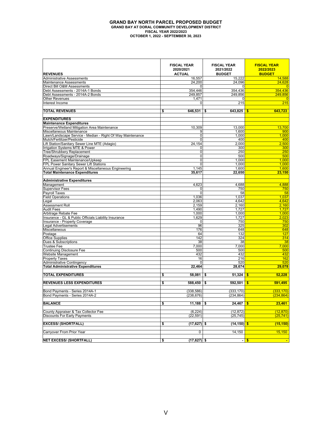### **GRAND BAY NORTH PARCEL PROPOSED BUDGET GRAND BAY AT DORAL COMMUNITY DEVELOPMENT DISTRICT FISCAL YEAR 2022/2023 OCTOBER 1, 2022 - SEPTEMBER 30, 2023**

|                                                            | <b>FISCAL YEAR</b><br>2020/2021 | <b>FISCAL YEAR</b><br>2021/2022        | <b>FISCAL YEAR</b><br>2022/2023 |
|------------------------------------------------------------|---------------------------------|----------------------------------------|---------------------------------|
| <b>REVENUES</b>                                            | <b>ACTUAL</b>                   | <b>BUDGET</b>                          | <b>BUDGET</b>                   |
| <b>Administrative Assessments</b>                          | 16,557                          | 15,222                                 | 14.588                          |
| Maintenance Assessments                                    | 24,200                          | 24,096                                 | 24,628                          |
| Direct Bill O&M Assessments                                | 0                               | 0                                      | $\overline{0}$                  |
| Debt Assessments - 2014A-1 Bonds                           | 354,446                         | 354,436                                | 354,436                         |
| Debt Assessments - 2014A-2 Bonds                           | 249,857                         | 249.856                                | 249.856                         |
| <b>Other Revenues</b>                                      | 1,471                           | 0                                      | $\overline{0}$                  |
| Interest Income                                            | $\Omega$                        | 215                                    | 215                             |
| <b>TOTAL REVENUES</b>                                      | 646,531<br>\$                   | 643,825<br>\$                          | 643,723<br>\$                   |
|                                                            |                                 |                                        |                                 |
| <b>EXPENDITURES</b>                                        |                                 |                                        |                                 |
| <b>Maintenance Expenditures</b>                            |                                 |                                        |                                 |
| Preserve/Wetland Mitigation Area Maintenance               | 10,309                          | 13,000                                 | 13.700                          |
| Miscellaneous Maintenance                                  | 9                               | 1.600                                  | 900                             |
| Lawn/Landscape Service - Median - Right Of Way Maintenance | $\overline{0}$                  | 1.000                                  | 1,000                           |
| Mulch/Fertilizer/Pesticide                                 | $\Omega$                        | 400                                    | 400                             |
| Lift Station/Sanitary Sewer Line MTE (Adagio)              | 24, 154                         | 2,000                                  | 2,500                           |
| Irrigation Systems MTE & Power                             | 0                               | 300                                    | 300                             |
| Tree/Shrubbery Replacement<br>Roadways/Signage/Drainage    | $\pmb{0}$<br>0                  | 250<br>500                             | 250<br>500                      |
| FPL Easement Maintenance/Upkeep                            | 0                               | 1,000                                  | 1,000                           |
| FPL Power Sanitary Sewer Lift Stations                     | $\Omega$                        | 1,000                                  | 1,000                           |
| Annual Engineer's Report & Miscellaneous Engineering       | 1,145                           | 1,600                                  | 1,600                           |
| <b>Total Maintenance Expenditures</b>                      | 35,617                          | 22,650                                 | 23.150                          |
|                                                            |                                 |                                        |                                 |
| <b>Administrative Expenditures</b>                         |                                 |                                        |                                 |
| Management                                                 | 4,623                           | 4,688                                  | 4,888                           |
| <b>Supervisor Fees</b>                                     | 0                               | 750                                    | 750                             |
| Payroll Taxes<br><b>Field Operations</b>                   | 0<br>1,036                      | 58<br>1,037                            | 58<br>1,037                     |
| Legal                                                      | 2,063                           | 4.642                                  | 4,642                           |
| Assessment Roll                                            | 2,159                           | 2,160                                  | 2,160                           |
| <b>Audit Fees</b>                                          | 1,490                           | 1,727                                  | 1,727                           |
| Arbitrage Rebate Fee                                       | 1,000                           | 1.000                                  | 1,000                           |
| Insurance - GL & Public Officials Liability Insurance      | 1,629                           | 1,727                                  | 2,023                           |
| Insurance - Property Coverage                              | 0                               | 750                                    | 750                             |
| <b>Legal Advertisements</b>                                | 96                              | 325                                    | 302                             |
| Miscellaneous                                              | 176                             | 648                                    | 648                             |
| Postage                                                    | 64                              | 132                                    | 127<br>314                      |
| <b>Office Supplies</b><br>Dues & Subscriptions             | 142<br>38                       | 324<br>38                              | 38                              |
| <b>Trustee Fee</b>                                         | 7,000                           | 7,000                                  | 7,000                           |
| <b>Continuing Disclosure Fee</b>                           | 500                             | 500                                    | 500                             |
| Website Management                                         | 432                             | 432                                    | 432                             |
| <b>Property Taxes</b>                                      | 16                              | 216                                    | 162                             |
| <b>Administrative Contingency</b>                          | $\Omega$                        | 520                                    | 520                             |
| <b>Total Administrative Expenditures</b>                   | 22,464                          | 28,674                                 | 29,078                          |
|                                                            |                                 |                                        |                                 |
| <b>TOTAL EXPENDITURES</b>                                  | 58,081<br>\$                    | 51,324<br>\$                           | 52.228<br>\$                    |
| <b>REVENUES LESS EXPENDITURES</b>                          | \$<br>588,450                   | $592,501$ \$<br>\$                     | 591.495                         |
| Bond Payments - Series 2014A-1                             | (338, 586)                      | (333, 170)                             | (333.170)                       |
| Bond Payments - Series 2014A-2                             | (238, 676)                      | (234, 864)                             | (234, 864)                      |
|                                                            |                                 |                                        |                                 |
| <b>BALANCE</b>                                             | \$<br>11,188                    | $\overline{\mathbb{S}}$<br>$24,467$ \$ | 23,461                          |
| County Appraiser & Tax Collector Fee                       | (6, 224)                        | (12, 872)                              | (12, 870)                       |
| <b>Discounts For Early Payments</b>                        | (22, 591)                       | (25, 745)                              | (25, 741)                       |
|                                                            |                                 |                                        |                                 |
| <b>EXCESS/ (SHORTFALL)</b>                                 | \$<br>$(17,627)$ \$             | $(14, 150)$ \$                         | (15, 150)                       |
| Carryover From Prior Year                                  | 0                               | 14,150                                 | 15,150                          |
| <b>NET EXCESS/ (SHORTFALL)</b>                             | (17,627) \$<br>\$               |                                        | - <mark>S</mark>                |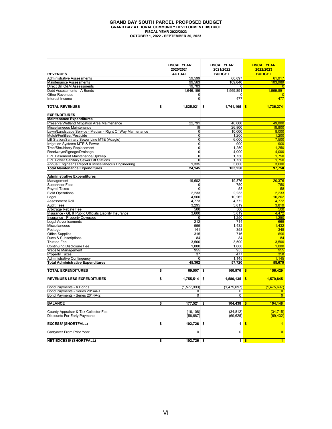### **GRAND BAY SOUTH PARCEL PROPOSED BUDGET GRAND BAY AT DORAL COMMUNITY DEVELOPMENT DISTRICT FISCAL YEAR 2022/2023 OCTOBER 1, 2022 - SEPTEMBER 30, 2023**

|                                                            | <b>FISCAL YEAR</b><br>2020/2021 | <b>FISCAL YEAR</b><br>2021/2022 | <b>FISCAL YEAR</b><br>2022/2023 |
|------------------------------------------------------------|---------------------------------|---------------------------------|---------------------------------|
| <b>REVENUES</b>                                            | <b>ACTUAL</b>                   | <b>BUDGET</b>                   | <b>BUDGET</b>                   |
| <b>Administrative Assessments</b>                          | 59,599                          | 60,897                          | 61,917                          |
| <b>Maintenance Assessments</b>                             | 99,563                          | 109,840                         | 103.989                         |
| Direct Bill O&M Assessments                                | 19,703                          | 0                               |                                 |
| Debt Assessments - A Bonds                                 | 1,646,156                       | 1,569,891                       | 1,569,891                       |
| <b>Other Revenues</b><br>Interest Income                   | $\Omega$<br>$\Omega$            | 0<br>477                        | $\Omega$<br>477                 |
|                                                            |                                 |                                 |                                 |
| <b>TOTAL REVENUES</b>                                      | \$<br>$1,825,021$ \$            | 1,741,105                       | \$<br>1,736,274                 |
| <b>EXPENDITURES</b>                                        |                                 |                                 |                                 |
| <b>Maintenance Expenditures</b>                            |                                 |                                 |                                 |
| Preserve/Wetland Mitigation Area Maintenance               | 22,791                          | 46,000                          | 49.000                          |
| Miscellaneous Maintenance                                  | 19                              | 26,800                          | 18,800                          |
| Lawn/Landscape Service - Median - Right Of Way Maintenance | $\Omega$                        | 10,000                          | 8,000                           |
| Mulch/Fertilizer/Pesticide                                 | $\mathbf 0$                     | 1,200                           | 1,200                           |
| Lift Station/Sanitary Sewer Line MTE (Adagio)              | $\mathbf 0$                     | 6,000                           | 7,500                           |
| Irrigation Systems MTE & Power                             | $\Omega$                        | 900                             | 900                             |
| <b>Tree/Shrubbery Replacement</b>                          | 0                               | 1,250                           | 1,250                           |
| Roadways/Signage/Drainage                                  | 0                               | 4,000                           | 4,000                           |
| FPL Easement Maintenance/Upkeep                            | 0                               | 1,750                           | 1,750                           |
| FPL Power Sanitary Sewer Lift Stations                     | $\Omega$                        | 1,750                           | 1,750                           |
| Annual Engineer's Report & Miscellaneous Engineering       | 1,335                           | 3,600                           | 3,600                           |
| <b>Total Maintenance Expenditures</b>                      | 24,145                          | 103,250                         | 97,750                          |
| <b>Administrative Expenditures</b>                         |                                 |                                 |                                 |
| Management                                                 | 19,602                          | 19,876                          | 20,376                          |
| <b>Supervisor Fees</b>                                     | 0<br>$\Omega$                   | 750                             | 750                             |
| Payroll Taxes<br><b>Field Operations</b>                   | 2,233                           | 58<br>2,233                     | 58<br>2,233                     |
| Legal                                                      | 4.560                           | 10,262                          | 10.262                          |
| Assessment Roll                                            | 4.773                           | 4,772                           | 4.772                           |
| <b>Audit Fees</b>                                          | 3.295                           | 3,819                           | 3.819                           |
| Arbitrage Rebate Fee                                       | 500                             | 500                             | 500                             |
| Insurance - GL & Public Officials Liability Insurance      | 3,600                           | 3,819                           | 4.472                           |
| Insurance - Property Coverage                              | $\Omega$                        | 1,250                           | 1.250                           |
| <b>Legal Advertisements</b>                                | 212                             | 714                             | 669                             |
| Miscellaneous                                              | 555                             | 1,432                           | 1,432                           |
| Postage                                                    | 141                             | 358                             | 348                             |
| <b>Office Supplies</b>                                     | 315                             | 716                             | 696                             |
| Dues & Subscriptions                                       | 84                              | 84                              | 84                              |
| <b>Trustee Fee</b>                                         | 3,500                           | 3,500                           | 3,500                           |
| <b>Continuing Disclosure Fee</b>                           | 1,000                           | 1.000                           | 1.000                           |
| Website Management                                         | 955                             | 955                             | 955                             |
| <b>Property Taxes</b>                                      | 37                              | 477                             | 358                             |
| <b>Administrative Contingency</b>                          | 0                               | 1,145                           | 1.145                           |
| <b>Total Administrative Expenditures</b>                   | 45,362                          | 57,720                          | 58,679                          |
| <b>TOTAL EXPENDITURES</b>                                  | 69,507<br>\$                    | 160.970<br>\$                   | 156,429<br>\$                   |
| <b>REVENUES LESS EXPENDITURES</b>                          | \$<br>1,755,514                 | 1,580,135<br>\$                 | 1,579,845<br>\$                 |
| Bond Payments - A Bonds                                    | (1, 577, 993)                   | (1,475,697)                     | (1,475,697)                     |
| Bond Payments - Series 2014A-1                             | 0                               | 0                               | $\mathbf{0}$                    |
| Bond Payments - Series 2014A-2                             | 0                               | 0                               | $\overline{0}$                  |
|                                                            |                                 |                                 |                                 |
| <b>BALANCE</b>                                             | \$<br>$177,521$ \$              | 104,438                         | 104,148                         |
| County Appraiser & Tax Collector Fee                       | (16, 108)                       | (34, 812)                       | (34, 715)                       |
| <b>Discounts For Early Payments</b>                        | (58, 687)                       | (69, 625)                       | (69, 432)                       |
| <b>EXCESS/ (SHORTFALL)</b>                                 | 102,726<br>\$                   | 1<br>\$                         | $\mathbf{1}$<br>-\$             |
| Carryover From Prior Year                                  | 0                               | 0                               | $\overline{0}$                  |
| <b>NET EXCESS/ (SHORTFALL)</b>                             | $102,726$ \$                    | 1                               | $\blacksquare$<br>$\frac{1}{2}$ |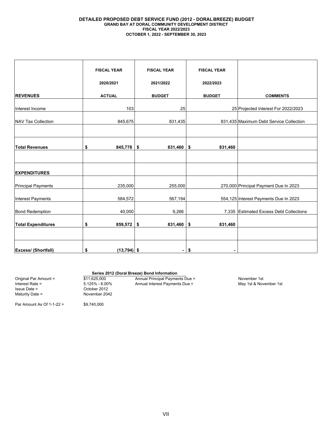### **DETAILED PROPOSED DEBT SERVICE FUND (2012 - DORALBREEZE) BUDGET GRAND BAY AT DORAL COMMUNITY DEVELOPMENT DISTRICT FISCAL YEAR 2022/2023 OCTOBER 1, 2022 - SEPTEMBER 30, 2023**

|                            | <b>FISCAL YEAR</b>  | <b>FISCAL YEAR</b> | <b>FISCAL YEAR</b> |                                         |
|----------------------------|---------------------|--------------------|--------------------|-----------------------------------------|
|                            | 2020/2021           | 2021/2022          | 2022/2023          |                                         |
| <b>REVENUES</b>            | <b>ACTUAL</b>       | <b>BUDGET</b>      | <b>BUDGET</b>      | <b>COMMENTS</b>                         |
| Interest Income            | 103                 | 25                 |                    | 25 Projected Interest For 2022/2023     |
| <b>NAV Tax Collection</b>  | 845,675             | 831,435            |                    | 831,435 Maximum Debt Service Collection |
|                            |                     |                    |                    |                                         |
| <b>Total Revenues</b>      | \$<br>$845,778$ \$  | 831,460            | \$<br>831,460      |                                         |
|                            |                     |                    |                    |                                         |
| <b>EXPENDITURES</b>        |                     |                    |                    |                                         |
| <b>Principal Payments</b>  | 235,000             | 255,000            |                    | 270,000 Principal Payment Due In 2023   |
| <b>Interest Payments</b>   | 584,572             | 567,194            |                    | 554,125 Interest Payments Due In 2023   |
| <b>Bond Redemption</b>     | 40,000              | 9,266              |                    | 7,335 Estimated Excess Debt Collections |
| <b>Total Expenditures</b>  | $859,572$ \$<br>\$  | 831,460            | \$<br>831,460      |                                         |
|                            |                     |                    |                    |                                         |
| <b>Excess/ (Shortfall)</b> | \$<br>$(13,794)$ \$ | ۰.                 | \$                 |                                         |

### **Series 2012 (Doral Breeze) Bond Information**

Maturity Date = November 2042

October 2012

Original Par Amount =  $\frac{\$11,625,000}{\$11,625,000}$  Annual Principal Payments Due = November 1st<br>
Interest Rate =  $\frac{5.125\% - 6.00\%}{\$1.000}$  Annual Interest Payments Due = May 1st & November 1st Interest Rate = 5.125% - 6.00% Annual Interest Payments Due =  $\frac{5.125\%}{\text{October 2012}}$  Annual Interest Payments Due =

Par Amount As Of 1-1-22 = \$9,740,000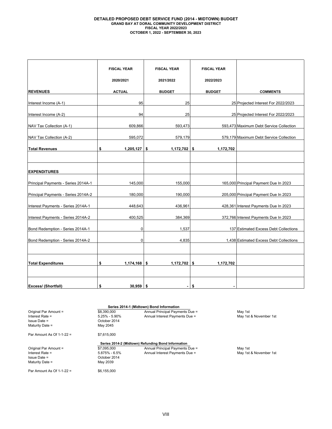### **DETAILED PROPOSED DEBT SERVICE FUND (2014 - MIDTOWN) BUDGET GRAND BAY AT DORAL COMMUNITY DEVELOPMENT DISTRICT FISCAL YEAR 2022/2023 OCTOBER 1, 2022 - SEPTEMBER 30, 2023**

|                                     | <b>FISCAL YEAR</b>   | <b>FISCAL YEAR</b>   | <b>FISCAL YEAR</b> |                                         |
|-------------------------------------|----------------------|----------------------|--------------------|-----------------------------------------|
|                                     | 2020/2021            | 2021/2022            | 2022/2023          |                                         |
| <b>REVENUES</b>                     | <b>ACTUAL</b>        | <b>BUDGET</b>        | <b>BUDGET</b>      | <b>COMMENTS</b>                         |
| Interest Income (A-1)               | 95                   | 25                   |                    | 25 Projected Interest For 2022/2023     |
| Interest Income (A-2)               | 94                   | 25                   |                    | 25 Projected Interest For 2022/2023     |
| NAV Tax Collection (A-1)            | 609,866              | 593,473              |                    | 593,473 Maximum Debt Service Collection |
| NAV Tax Collection (A-2)            | 595,072              | 579,179              |                    | 579,179 Maximum Debt Service Collection |
| <b>Total Revenues</b>               | \$<br>1,205,127      | \$<br>1,172,702      | \$<br>1,172,702    |                                         |
| <b>EXPENDITURES</b>                 |                      |                      |                    |                                         |
| Principal Payments - Series 2014A-1 | 145,000              | 155,000              |                    | 165,000 Principal Payment Due In 2023   |
| Principal Payments - Series 2014A-2 | 180,000              | 190,000              |                    | 205,000 Principal Payment Due In 2023   |
| Interest Payments - Series 2014A-1  | 448,643              | 436,961              |                    | 428,361 Interest Payments Due In 2023   |
| Interest Payments - Series 2014A-2  | 400,525              | 384,369              |                    | 372,766 Interest Payments Due In 2023   |
| Bond Redemption - Series 2014A-1    | 0                    | 1,537                |                    | 137 Estimated Excess Debt Collections   |
| Bond Redemption - Series 2014A-2    | 0                    | 4,835                |                    | 1,438 Estimated Excess Debt Collections |
|                                     |                      |                      |                    |                                         |
| <b>Total Expenditures</b>           | \$<br>$1,174,168$ \$ | $1,172,702$ \$       | 1,172,702          |                                         |
|                                     |                      |                      |                    |                                         |
| Excess/ (Shortfall)                 | 30,959<br>\$         | \$<br>$\blacksquare$ | \$                 |                                         |

|                             |               | Series 2014-1 (Midtown) Bond Information           |                        |
|-----------------------------|---------------|----------------------------------------------------|------------------------|
| Original Par Amount =       | \$8,390,000   | Annual Principal Payments Due =                    | May 1st                |
| Interest Rate $=$           | 5.25% - 5.90% | Annual Interest Payments Due =                     | May 1st & November 1st |
| $Is sue Date =$             | October 2014  |                                                    |                        |
| Maturity Date =             | May 2045      |                                                    |                        |
| Par Amount As Of $1-1-22$ = | \$7.615.000   |                                                    |                        |
|                             |               | Series 2014-2 (Midtown) Refunding Bond Information |                        |
| Original Par Amount =       | \$7,095,000   | Annual Principal Payments Due =                    | May 1st                |
| Interest Rate $=$           | 5.875% - 6.5% | Annual Interest Payments Due =                     | May 1st & November 1st |
| $Is sue Date =$             | October 2014  |                                                    |                        |
| Maturity Date $=$           | May 2039      |                                                    |                        |
| Par Amount As Of $1-1-22$ = | \$6,155,000   |                                                    |                        |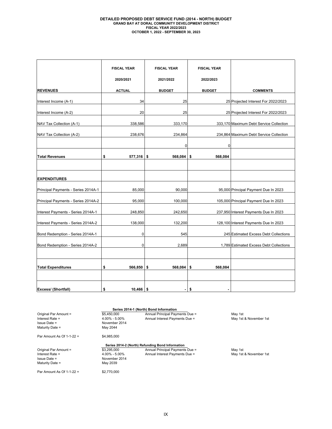# **DETAILED PROPOSED DEBT SERVICE FUND (2014 - NORTH) BUDGET GRAND BAY AT DORAL COMMUNITY DEVELOPMENT DISTRICT FISCAL YEAR 2022/2023 OCTOBER 1, 2022 - SEPTEMBER 30, 2023**

|                                     | <b>FISCAL YEAR</b> | <b>FISCAL YEAR</b> | <b>FISCAL YEAR</b> |                                         |
|-------------------------------------|--------------------|--------------------|--------------------|-----------------------------------------|
|                                     | 2020/2021          | 2021/2022          | 2022/2023          |                                         |
| <b>REVENUES</b>                     | <b>ACTUAL</b>      | <b>BUDGET</b>      | <b>BUDGET</b>      | <b>COMMENTS</b>                         |
| Interest Income (A-1)               | 34                 | 25                 |                    | 25 Projected Interest For 2022/2023     |
| Interest Income (A-2)               | 20                 | 25                 |                    | 25 Projected Interest For 2022/2023     |
| NAV Tax Collection (A-1)            | 338,586            | 333,170            |                    | 333,170 Maximum Debt Service Collection |
| NAV Tax Collection (A-2)            | 238,676            | 234,864            |                    | 234,864 Maximum Debt Service Collection |
|                                     |                    | $\mathbf 0$        | $\Omega$           |                                         |
| <b>Total Revenues</b>               | \$<br>$577,316$ \$ | 568,084            | 568,084<br>\$      |                                         |
|                                     |                    |                    |                    |                                         |
| <b>EXPENDITURES</b>                 |                    |                    |                    |                                         |
| Principal Payments - Series 2014A-1 | 85,000             | 90,000             |                    | 95,000 Principal Payment Due In 2023    |
| Principal Payments - Series 2014A-2 | 95,000             | 100,000            |                    | 105,000 Principal Payment Due In 2023   |
| Interest Payments - Series 2014A-1  | 248,850            | 242,650            |                    | 237,950 Interest Payments Due In 2023   |
| Interest Payments - Series 2014A-2  | 138,000            | 132,200            |                    | 128,100 Interest Payments Due In 2023   |
| Bond Redemption - Series 2014A-1    | 0                  | 545                |                    | 245 Estimated Excess Debt Collections   |
| Bond Redemption - Series 2014A-2    | $\mathbf 0$        | 2,689              |                    | 1,789 Estimated Excess Debt Collections |
|                                     |                    |                    |                    |                                         |
| <b>Total Expenditures</b>           | \$<br>566,850      | 568,084<br>\$      | 568,084<br>\$      |                                         |
|                                     |                    |                    |                    |                                         |
| Excess/ (Shortfall)                 | \$<br>$10,466$ \$  | $\blacksquare$     | \$<br>٠            |                                         |

|                           |                   | Series 2014-1 (North) Bond Information           |                        |
|---------------------------|-------------------|--------------------------------------------------|------------------------|
| Original Par Amount =     | \$5,450,000       | Annual Principal Payments Due =                  | May 1st                |
| Interest Rate =           | $4.00\% - 5.00\%$ | Annual Interest Payments Due =                   | May 1st & November 1st |
| Issue Date =              | November 2014     |                                                  |                        |
| Maturity Date =           | May 2044          |                                                  |                        |
| Par Amount As Of 1-1-22 = | \$4.985.000       |                                                  |                        |
|                           |                   | Series 2014-2 (North) Refunding Bond Information |                        |
| Original Par Amount =     | \$3,295,000       | Annual Principal Payments Due =                  | May 1st                |
| Interest Rate =           | $4.00\% - 5.00\%$ | Annual Interest Payments Due =                   | May 1st & November 1st |
| Issue Date =              | November 2014     |                                                  |                        |
| Maturity Date =           | May 2039          |                                                  |                        |
| Par Amount As Of 1-1-22 = | \$2,770,000       |                                                  |                        |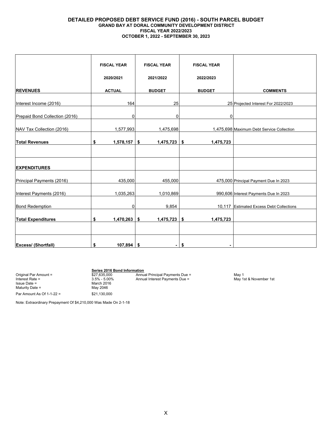### **DETAILED PROPOSED DEBT SERVICE FUND (2016) - SOUTH PARCEL BUDGET GRAND BAY AT DORAL COMMUNITY DEVELOPMENT DISTRICT FISCAL YEAR 2022/2023 OCTOBER 1, 2022 - SEPTEMBER 30, 2023**

|                                | <b>FISCAL YEAR</b> | <b>FISCAL YEAR</b>   | <b>FISCAL YEAR</b> |                                           |
|--------------------------------|--------------------|----------------------|--------------------|-------------------------------------------|
|                                | 2020/2021          | 2021/2022            | 2022/2023          |                                           |
| <b>REVENUES</b>                | <b>ACTUAL</b>      | <b>BUDGET</b>        | <b>BUDGET</b>      | <b>COMMENTS</b>                           |
| Interest Income (2016)         | 164                | 25                   |                    | 25 Projected Interest For 2022/2023       |
| Prepaid Bond Collection (2016) | 0                  | 0                    | 0                  |                                           |
| NAV Tax Collection (2016)      | 1,577,993          | 1,475,698            |                    | 1,475,698 Maximum Debt Service Collection |
| <b>Total Revenues</b>          | \$<br>1,578,157    | \$<br>$1,475,723$ \$ | 1,475,723          |                                           |
|                                |                    |                      |                    |                                           |
| <b>EXPENDITURES</b>            |                    |                      |                    |                                           |
| Principal Payments (2016)      | 435,000            | 455,000              |                    | 475,000 Principal Payment Due In 2023     |
| Interest Payments (2016)       | 1,035,263          | 1,010,869            |                    | 990,606 Interest Payments Due In 2023     |
| <b>Bond Redemption</b>         | 0                  | 9,854                |                    | 10,117 Estimated Excess Debt Collections  |
| <b>Total Expenditures</b>      | \$<br>1,470,263    | \$<br>$1,475,723$ \$ | 1,475,723          |                                           |
|                                |                    |                      |                    |                                           |
| <b>Excess/ (Shortfall)</b>     | \$<br>$107,894$ \$ | ۰.                   | \$<br>۰            |                                           |

Issue Date = The March 2016<br>Maturity Date = The March 2016<br>May 2046 Maturity Date  $=$ 

Par Amount As Of 1-1-22 = \$21,130,000

**Series 2016 Bond Information** Original Par Amount = \$27,635,000 Annual Principal Payments Due = May 1 Interest Rate = 3.5% - 5.00% Annual Interest Payments Due = May 1st & November 1st

Note: Extraordinary Prepayment Of \$4,210,000 Was Made On 2-1-18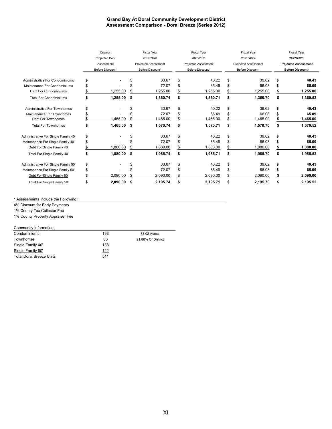### **Grand Bay At Doral Community Development District Assessment Comparison - Doral Breeze (Series 2012)**

|                                        | Original   |                       | <b>Fiscal Year</b>          |                  |                             | <b>Fiscal Year</b> |           | <b>Fiscal Year</b>          | <b>Fiscal Year</b>          |                  |  |  |
|----------------------------------------|------------|-----------------------|-----------------------------|------------------|-----------------------------|--------------------|-----------|-----------------------------|-----------------------------|------------------|--|--|
|                                        |            | <b>Projected Debt</b> | 2019/2020                   |                  |                             | 2020/2021          | 2021/2022 |                             |                             | 2022/2023        |  |  |
|                                        | Assessment |                       | <b>Projected Assessment</b> |                  | <b>Projected Assessment</b> |                    |           | <b>Projected Assessment</b> | <b>Projected Assessment</b> |                  |  |  |
|                                        |            | Before Discount*      |                             | Before Discount* |                             | Before Discount*   |           | Before Discount*            |                             | Before Discount* |  |  |
| <b>Administrative For Condominiums</b> | \$         |                       |                             | 33.67            | \$                          | 40.22              | \$        | 39.62                       | \$                          | 40.43            |  |  |
| Maintenance For Condominiums           | \$         |                       |                             | 72.07            | \$                          | 65.49              | \$        | 66.08                       |                             | 65.09            |  |  |
| Debt For Condominiums                  | \$         | 1,255.00              | \$                          | 1,255.00         | \$                          | 1,255.00           | \$        | 1,255.00                    |                             | 1,255.00         |  |  |
| <b>Total For Condominiums</b>          | \$         | 1,255.00              | -\$                         | 1,360.74         | \$                          | 1,360.71           | \$        | 1,360.70                    | \$                          | 1,360.52         |  |  |
| <b>Administrative For Townhomes</b>    | \$         |                       |                             | 33.67            | \$                          | 40.22              | \$        | 39.62                       | \$                          | 40.43            |  |  |
| Maintenance For Townhomes              | \$         |                       |                             | 72.07            | \$                          | 65.49              | \$        | 66.08                       |                             | 65.09            |  |  |
| Debt For Townhomes                     |            | 1,465.00              | \$                          | 1,465.00         | \$                          | 1,465.00           | \$        | 1,465.00                    |                             | 1,465.00         |  |  |
| <b>Total For Townhomes</b>             | \$         | 1,465.00              | - \$                        | 1,570.74         | \$                          | 1,570.71           | \$        | 1,570.70                    | \$                          | 1,570.52         |  |  |
| Administrative For Single Family 40'   | \$         |                       |                             | 33.67            | \$                          | 40.22              | \$        | 39.62                       | \$                          | 40.43            |  |  |
| Maintenance For Single Family 40'      | \$         |                       |                             | 72.07            | \$                          | 65.49              | \$        | 66.08                       | S                           | 65.09            |  |  |
| Debt For Single Family 40'             | S          | 1,880.00              | \$                          | 1,880.00         | \$                          | 1,880.00           | \$        | 1,880.00                    |                             | 1,880.00         |  |  |
| Total For Single Family 40'            | \$         | 1,880.00              | - \$                        | 1,985.74         | \$                          | 1,985.71           | \$        | 1,985.70                    | \$                          | 1,985.52         |  |  |
| Administrative For Single Family 50'   | \$         |                       | \$                          | 33.67            | \$                          | 40.22              | \$        | 39.62                       | \$                          | 40.43            |  |  |
| Maintenance For Single Family 50'      | \$         |                       |                             | 72.07            | \$                          | 65.49              | \$        | 66.08                       | S                           | 65.09            |  |  |
| Debt For Single Family 50'             |            | 2,090.00              | \$                          | 2,090.00         | \$                          | 2,090.00           | \$        | 2,090.00                    |                             | 2,090.00         |  |  |
| Total For Single Family 50'            | \$         | 2,090.00              | - \$                        | 2,195.74         | \$                          | 2,195.71           | \$        | 2,195.70                    | \$                          | 2,195.52         |  |  |

### \* Assessments Include the Following :

4% Discount for Early Payments

1% County Tax Collector Fee

1% County Property Appraiser Fee

### Community Information:

| Condominiums             | 198         | 73.02 Acres        |
|--------------------------|-------------|--------------------|
| Townhomes                | 83          | 21.88% Of District |
| Single Family 40'        | 138         |                    |
| Single Family 50'        | <u> 122</u> |                    |
| Total Doral Breeze Units | 541         |                    |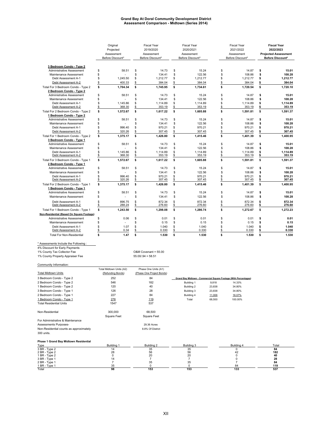### **Grand Bay At Doral Community Development District Assessment Comparison - Midtown (Series 2014)**

|                                                                |          | Original<br>Projected<br>Assessment<br>Before Discount* |          | <b>Fiscal Year</b><br>2019/2020<br>Assessment<br>Before Discount* | <b>Fiscal Year</b><br>2020/2021<br>Assessment<br>Before Discount* |                    |          | <b>Fiscal Year</b><br>2021/2022<br>Assessment<br>Before Discount* | <b>Fiscal Year</b><br>2022/2023<br><b>Projected Assessment</b><br>Before Discount* |                    |
|----------------------------------------------------------------|----------|---------------------------------------------------------|----------|-------------------------------------------------------------------|-------------------------------------------------------------------|--------------------|----------|-------------------------------------------------------------------|------------------------------------------------------------------------------------|--------------------|
| 3 Bedroom Condo - Type 2                                       |          |                                                         |          |                                                                   |                                                                   |                    |          |                                                                   |                                                                                    |                    |
| <b>Administrative Assessment</b>                               | Ŝ        | 58.51                                                   | \$       | 14.73                                                             | \$                                                                | 15.24              | \$       | 14.87                                                             | \$                                                                                 | 15.01              |
| Maintenance Assessment                                         | \$       |                                                         | \$       | 134.41                                                            | \$                                                                | 122.56             | \$       | 108.86                                                            | \$                                                                                 | 108.28             |
| Debt Assessment A-1                                            | \$       | 1,245.50                                                | \$       | 1,212.77                                                          | \$                                                                | 1,212.77           | \$       | 1,212.77                                                          | \$                                                                                 | 1,212.77           |
| Debt Assessment A-2                                            | \$       | 400.33                                                  | \$       | 384.04                                                            | \$                                                                | 384.04             | \$       | 384.04                                                            | \$                                                                                 | 384.04             |
| Total For 3 Bedroom Condo - Type 2<br>2 Bedroom Condo - Type 2 | \$       | 1.704.34                                                | \$       | 1.745.95                                                          | \$                                                                | 1.734.61           | \$       | 1.720.54                                                          | \$                                                                                 | 1.720.10           |
| <b>Administrative Assessment</b>                               | \$       | 58.51                                                   | \$       | 14.73                                                             | \$                                                                | 15.24              | \$       | 14.87                                                             | \$                                                                                 | 15.01              |
| Maintenance Assessment                                         | \$       |                                                         | \$       | 134.41                                                            | \$                                                                | 122.56             | \$       | 108.86                                                            | \$                                                                                 | 108.28             |
| Debt Assessment A-1                                            | \$       | 1,145.86                                                | \$       | 1,114.89                                                          | \$                                                                | 1,114.89           | \$       | 1,114.89                                                          | \$                                                                                 | 1,114.89           |
| Debt Assessment A-2                                            | \$       | 368.30                                                  | \$       | 353.19                                                            | \$                                                                | 353.19             | \$       | 353.19                                                            | \$                                                                                 | 353.19             |
| Total For 2 Bedroom Condo - Type 2<br>1 Bedroom Condo - Type 2 | \$       | 1.572.67                                                | s        | 1.617.22                                                          | \$                                                                | 1.605.88           | \$       | 1.591.81                                                          | \$                                                                                 | 1,591.37           |
| <b>Administrative Assessment</b>                               | \$       | 58.51                                                   | \$       | 14.73                                                             | \$                                                                | 15.24              | \$       | 14.87                                                             | \$                                                                                 | 15.01              |
| Maintenance Assessment                                         | \$       |                                                         | \$       | 134.41                                                            | \$                                                                | 122.56             | \$       | 108.86                                                            | \$                                                                                 | 108.28             |
| Debt Assessment A-1                                            | S        | 996.40                                                  | \$       | 970.21                                                            | \$                                                                | 970.21             | \$       | 970.21                                                            | \$                                                                                 | 970.21             |
| Debt Assessment A-2                                            | \$       | 320.26                                                  | \$       | 307.45                                                            | \$                                                                | 307.45             | \$       | 307.45                                                            | \$                                                                                 | 307.45             |
| Total For 1 Bedroom Condo - Type 2                             | \$       | 1,375.17                                                | \$       | 1,426.80                                                          | \$                                                                | 1,415.46           | \$       | 1,401.39                                                          | \$                                                                                 | 1,400.95           |
| 3 Bedroom Condo - Type 1                                       |          |                                                         |          |                                                                   |                                                                   |                    |          |                                                                   |                                                                                    |                    |
| <b>Administrative Assessment</b>                               | \$       | 58.51                                                   | \$       | 14.73                                                             | \$                                                                | 15.24              | \$       | 14.87                                                             | \$                                                                                 | 15.01              |
| Maintenance Assessment                                         | \$       |                                                         | \$       | 134.41                                                            | \$                                                                | 122.56             | \$       | 108.86                                                            | \$                                                                                 | 108.28             |
| Debt Assessment A-1<br>Debt Assessment A-2                     | \$<br>\$ | 1.145.86<br>368.30                                      | \$<br>\$ | 1,114.89<br>353.19                                                | \$<br>\$                                                          | 1.114.89<br>353.19 | \$<br>\$ | 1.114.89<br>353.19                                                | \$<br>\$                                                                           | 1.114.89<br>353.19 |
| Total For 3 Bedroom Condo - Type 1<br>2 Bedroom Condo - Type 1 | \$       | 1.572.67                                                | \$       | 1,617.22                                                          | \$                                                                | 1,605.88           | \$       | 1,591.81                                                          | \$                                                                                 | 1,591.37           |
| <b>Administrative Assessment</b>                               | Ŝ        | 58.51                                                   | \$       | 14.73                                                             | \$                                                                | 15.24              | \$       | 14.87                                                             | Ŝ                                                                                  | 15.01              |
| Maintenance Assessment                                         | \$       |                                                         | \$       | 134.41                                                            | \$                                                                | 122.56             | \$       | 108.86                                                            | \$                                                                                 | 108.28             |
| Debt Assessment A-1                                            | \$       | 996.40                                                  | \$       | 970.21                                                            | \$                                                                | 970.21             | \$       | 970.21                                                            | \$                                                                                 | 970.21             |
| Debt Assessment A-2                                            | Ś.       | 320.26                                                  | \$       | 307.45                                                            | \$                                                                | 307.45             | \$       | 307.45                                                            | \$                                                                                 | 307.45             |
| Total For 2 Bedroom Condo - Type 1<br>1 Bedroom Condo - Type 1 | \$       | 1,375.17                                                | \$       | 1,426.80                                                          | \$                                                                | 1,415.46           | \$       | 1,401.39                                                          | \$                                                                                 | 1,400.95           |
| <b>Administrative Assessment</b>                               | \$       | 58.51                                                   | \$       | 14.73                                                             | \$                                                                | 15.24              | \$       | 14.87                                                             | \$                                                                                 | 15.01              |
| Maintenance Assessment                                         | \$       |                                                         | \$       | 134.41                                                            | \$                                                                | 122.56             | \$       | 108.86                                                            | \$                                                                                 | 108.28             |
| Debt Assessment A-1                                            | S        | 896.75                                                  | \$       | 872.34                                                            | \$                                                                | 872.34             | \$       | 872.34                                                            | Ś                                                                                  | 872.34             |
| Debt Assessment A-2                                            | \$       | 288.24                                                  | \$       | 276.60                                                            | \$                                                                | 276.60             | \$       | 276.60                                                            | \$                                                                                 | 276.60             |
| Total For 1 Bedroom Condo - Type 1                             | \$       | 1,243.50                                                | s        | 1,298.08                                                          | \$                                                                | 1,286.74           | s        | 1,272.67                                                          | \$                                                                                 | 1,272.23           |
| Non-Residential (Based On Square Footage)                      |          |                                                         |          |                                                                   |                                                                   |                    |          |                                                                   |                                                                                    |                    |
| <b>Administrative Assessment</b>                               | \$       | 0.06                                                    | \$       | 0.01                                                              | \$                                                                | 0.01               | \$       | 0.01                                                              | \$                                                                                 | 0.01               |
| Maintenance Assessment                                         | \$       |                                                         | \$       | 0.15                                                              | \$                                                                | 0.15               | \$       | 0.15                                                              | \$                                                                                 | 0.15               |
| Debt Assessment A-1                                            | \$       | 1.07                                                    | \$       | 1.040                                                             | \$                                                                | 1.040              | Ś        | 1.040                                                             | \$                                                                                 | 1.040              |
| Debt Assessment A-2                                            | \$       | 0.34                                                    | \$       | 0.330                                                             | \$                                                                | 0.330              | \$       | 0.330                                                             | \$                                                                                 | 0.330              |
| <b>Total For Non-Residential</b>                               | s        | 1.47                                                    | \$       | 1.530                                                             | \$                                                                | 1.530              | s        | 1.530                                                             | \$                                                                                 | 1.530              |

## \* Assessments Include the Following : 4% Discount for Early Payments 1% County Tax Collector Fee O&M Covenant = 55.00 1% County Property Appraiser Fee 55.00/.94 = 58.51

| Community Information:                  |                          |                           |                |        |                                                                  |           |
|-----------------------------------------|--------------------------|---------------------------|----------------|--------|------------------------------------------------------------------|-----------|
|                                         | Total Midtown Units (A2) | Phase One Units (A1)      |                |        |                                                                  |           |
| <b>Total Midtown Units</b>              | (Refunding Bonds)        | (Phase One Project Bonds) |                |        |                                                                  |           |
| 3 Bedroom Condo - Type 2                | 252                      | 84                        |                |        | Grand Bay Midtown - Commercial Square Footage (With Percentages) |           |
| 2 Bedroom Condo - Type 2                | 546                      | 182                       | Building 1     | 9,818  | 14.33%                                                           |           |
| 1 Bedroom Condo - Type 2                | 120                      | 40                        | Building 2     | 23,838 | 34.80%                                                           |           |
| 3 Bedroom Condo - Type 1                | 126                      | 28                        | Building 3     | 23,838 | 34.80%                                                           |           |
| 2 Bedroom Condo - Type 1                | 227                      | 84                        | Building 4     | 11,006 | 16.07%                                                           |           |
| 1 Bedroom Condo - Type 1                | 276                      | 119                       | Total          | 68,500 | 100.00%                                                          |           |
| <b>Total Residential Units</b>          | 1547                     | 537                       |                |        |                                                                  |           |
| Non-Residential                         | 300,000                  | 68,500                    |                |        |                                                                  |           |
|                                         | Square Feet              | <b>Square Feet</b>        |                |        |                                                                  |           |
| For Administrative & Maintenance        |                          |                           |                |        |                                                                  |           |
| Assessments Purposes-                   |                          | 29.36 Acres               |                |        |                                                                  |           |
| Non-Residential counts as approximately |                          | 8.8% Of District          |                |        |                                                                  |           |
| 300 units.                              |                          |                           |                |        |                                                                  |           |
| Phase 1 Grand Bay Midtown Residential   |                          |                           |                |        |                                                                  |           |
| Type                                    | Building 1               | Building 2                | Building 3     |        | Building 4                                                       | Total     |
| 3 BR - Type 2                           | 14                       | 35                        | 35             |        | 0                                                                | 84        |
| 2 BR - Type 2<br>1 BR - Type 2          | 28<br>0                  | 56<br>20                  | 56<br>20       |        | 42<br>0                                                          | 182<br>40 |
| 3 BR - Type 1                           | 14                       | $\overline{7}$            | $\overline{7}$ |        | 0                                                                | 28        |

2 BR - Type 1 7 35 35 7 **84** 1 BR - Type 1 35 0 0 84 **119** Total **98 153 153 133 537**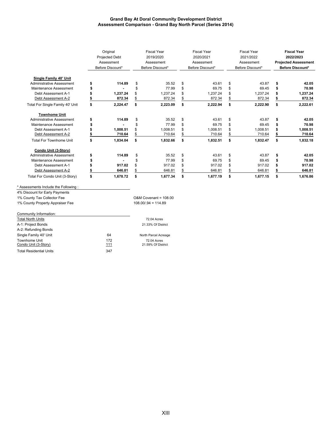### **Grand Bay At Doral Community Development District Assessment Comparison - Grand Bay North Parcel (Series 2014)**

|                                                                        | Original<br><b>Projected Debt</b><br>Assessment<br>Before Discount* | <b>Fiscal Year</b><br>2019/2020<br>Assessment<br>Before Discount* |          | <b>Fiscal Year</b><br>2020/2021<br>Assessment<br>Before Discount* |          | <b>Fiscal Year</b><br>2021/2022<br>Assessment<br>Before Discount* |          | <b>Fiscal Year</b><br>2022/2023<br><b>Projected Assessment</b><br>Before Discount* |          |
|------------------------------------------------------------------------|---------------------------------------------------------------------|-------------------------------------------------------------------|----------|-------------------------------------------------------------------|----------|-------------------------------------------------------------------|----------|------------------------------------------------------------------------------------|----------|
| Single Family 40' Unit                                                 |                                                                     |                                                                   |          |                                                                   |          |                                                                   |          |                                                                                    |          |
| Administrative Assessment                                              | 114.89                                                              | \$                                                                | 35.52    | \$                                                                | 43.61    | \$                                                                | 43.87    | \$                                                                                 | 42.05    |
| Maintenance Assessment                                                 |                                                                     | \$                                                                | 77.99    | \$                                                                | 69.75    | \$                                                                | 69.45    | \$                                                                                 | 70.98    |
| Debt Assessment A-1                                                    | 1,237.24                                                            | \$                                                                | 1,237.24 | \$                                                                | 1,237.24 | \$                                                                | 1,237.24 |                                                                                    | 1,237.24 |
| Debt Assessment A-2                                                    | 872.34                                                              | \$                                                                | 872.34   | \$                                                                | 872.34   | \$                                                                | 872.34   |                                                                                    | 872.34   |
| Total For Single Family 40' Unit                                       | \$<br>2,224.47                                                      | \$                                                                | 2,223.09 | \$                                                                | 2,222.94 | \$                                                                | 2,222.90 | \$                                                                                 | 2,222.61 |
| <b>Townhome Unit</b>                                                   |                                                                     |                                                                   |          |                                                                   |          |                                                                   |          |                                                                                    |          |
| Administrative Assessment                                              | 114.89                                                              | \$                                                                | 35.52    | \$                                                                | 43.61    | \$                                                                | 43.87    | \$                                                                                 | 42.05    |
| Maintenance Assessment                                                 |                                                                     | \$                                                                | 77.99    | \$                                                                | 69.75    | \$                                                                | 69.45    | \$                                                                                 | 70.98    |
| Debt Assessment A-1                                                    | 1,008.51                                                            | \$                                                                | 1,008.51 |                                                                   | 1,008.51 | \$                                                                | 1,008.51 |                                                                                    | 1,008.51 |
| Debt Assessment A-2                                                    | 710.64                                                              | \$                                                                | 710.64   |                                                                   | 710.64   | \$                                                                | 710.64   |                                                                                    | 710.64   |
| <b>Total For Townhome Unit</b>                                         | \$<br>1,834.04                                                      | \$                                                                | 1,832.66 | \$                                                                | 1,832.51 | \$                                                                | 1,832.47 | \$                                                                                 | 1,832.18 |
| Condo Unit (3-Story)                                                   |                                                                     |                                                                   |          |                                                                   |          |                                                                   |          |                                                                                    |          |
| Administrative Assessment                                              | 114.89                                                              | \$                                                                | 35.52    | \$                                                                | 43.61    | \$                                                                | 43.87    | \$                                                                                 | 42.05    |
| Maintenance Assessment                                                 |                                                                     | \$                                                                | 77.99    | \$                                                                | 69.75    | \$                                                                | 69.45    | \$                                                                                 | 70.98    |
| Debt Assessment A-1                                                    | 917.02                                                              | \$                                                                | 917.02   | \$                                                                | 917.02   | \$                                                                | 917.02   |                                                                                    | 917.02   |
| Debt Assessment A-2                                                    | 646.81                                                              | \$                                                                | 646.81   | \$                                                                | 646.81   | \$                                                                | 646.81   |                                                                                    | 646.81   |
| Total For Condo Unit (3-Story)                                         | \$<br>1,678.72                                                      | \$                                                                | 1,677.34 | \$                                                                | 1,677.19 | \$                                                                | 1,677.15 | \$                                                                                 | 1,676.86 |
| * Assessments Include the Following:<br>4% Discount for Early Payments |                                                                     |                                                                   |          |                                                                   |          |                                                                   |          |                                                                                    |          |

1% County Tax Collector Fee **O&M** Covenant = 108.00

1% County Property Appraiser Fee 108.00/.94 = 114.89

### Community Information:

| <b>Total North Units</b>       |     | 72.04 Acres          |
|--------------------------------|-----|----------------------|
| A-1: Project Bonds             |     | 21.33% Of District   |
| A-2: Refunding Bonds           |     |                      |
| Single Family 40' Unit         | 64  | North Parcel Acreage |
| Townhome Unit                  | 172 | 72.04 Acres          |
| Condo Unit (3-Story)           | 111 | 21.59% Of District   |
| <b>Total Residential Units</b> | 347 |                      |